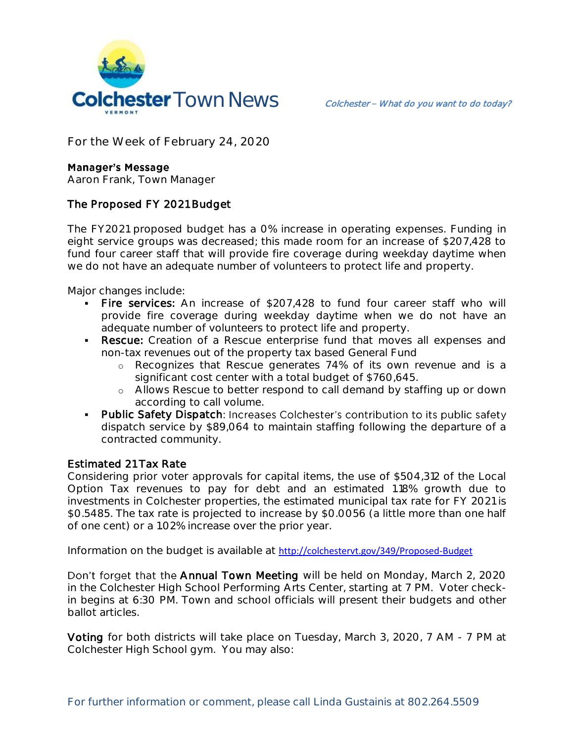

**For the Week of February 24, 2020**

#### **Manager's Message**

**Aaron Frank, Town Manager**

# The Proposed FY 2021 Budget

The FY2021 proposed budget has a 0% increase in operating expenses. Funding in eight service groups was decreased; this made room for an increase of \$207,428 to fund four career staff that will provide fire coverage during weekday daytime when we do not have an adequate number of volunteers to protect life and property.

Major changes include:

- Fire services: An increase of \$207,428 to fund four career staff who will provide fire coverage during weekday daytime when we do not have an adequate number of volunteers to protect life and property.
- Rescue: Creation of a Rescue enterprise fund that moves all expenses and non-tax revenues out of the property tax based General Fund
	- o Recognizes that Rescue generates 74% of its own revenue and is a significant cost center with a total budget of \$760,645.
	- o Allows Rescue to better respond to call demand by staffing up or down according to call volume.
- Public Safety Dispatch: Increases Colchester's contribution to its public safety dispatch service by \$89,064 to maintain staffing following the departure of a contracted community.

#### Estimated 21 Tax Rate

Considering prior voter approvals for capital items, the use of \$504,312 of the Local Option Tax revenues to pay for debt and an estimated 1.18% growth due to investments in Colchester properties, the estimated municipal tax rate for FY 2021 is \$0.5485. The tax rate is projected to increase by \$0.0056 (a little more than one half of one cent) or a 1.02% increase over the prior year.

Information on the budget is available at <http://colchestervt.gov/349/Proposed-Budget>

Don't forget that the Annual Town Meeting will be held on Monday, March 2, 2020 in the Colchester High School Performing Arts Center, starting at 7 PM. Voter checkin begins at 6:30 PM. Town and school officials will present their budgets and other ballot articles.

Voting for both districts will take place on Tuesday, March 3, 2020, 7 AM - 7 PM at Colchester High School gym. You may also: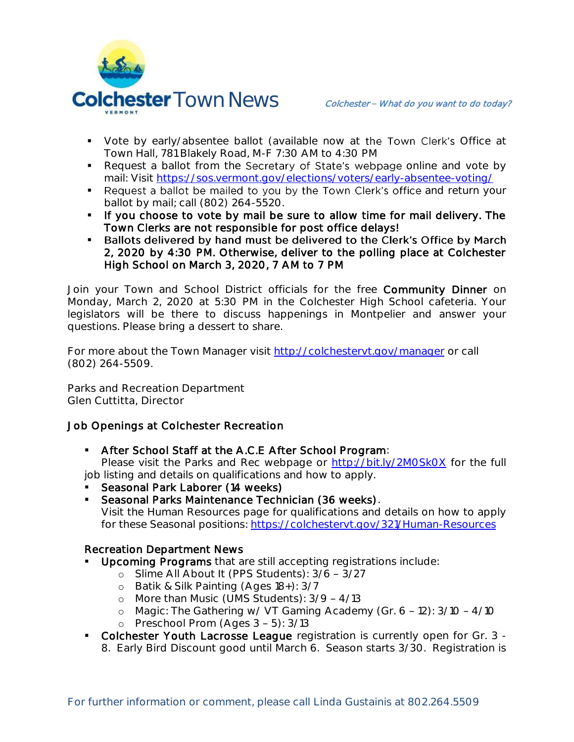

- Vote by early/absentee ballot (available now at the Town Clerk's Office at Town Hall, 781 Blakely Road, M-F 7:30 AM to 4:30 PM
- Request a ballot from the Secretary of State's webpage online and vote by mail: Visit<https://sos.vermont.gov/elections/voters/early-absentee-voting/>
- Request a ballot be mailed to you by the Town Clerk's office and return your ballot by mail; call (802) 264-5520.
- If you choose to vote by mail be sure to allow time for mail delivery. The Town Clerks are not responsible for post office delays!
- Ballots delivered by hand must be delivered to the Clerk's Office by March 2, 2020 by 4:30 PM. Otherwise, deliver to the polling place at Colchester High School on March 3, 2020, 7 AM to 7 PM

Join your Town and School District officials for the free Community Dinner on Monday, March 2, 2020 at 5:30 PM in the Colchester High School cafeteria. Your legislators will be there to discuss happenings in Montpelier and answer your questions. Please bring a dessert to share.

For more about the Town Manager visit<http://colchestervt.gov/manager> or call (802) 264-5509.

**Parks and Recreation Department Glen Cuttitta, Director**

## **Job Openings at Colchester Recreation**

**• After School Staff at the A.C.E After School Program:** 

Please visit the Parks and Rec webpage or<http://bit.ly/2M0Sk0X> for the full job listing and details on qualifications and how to apply.

- **Seasonal Park Laborer (14 weeks)**
- **Seasonal Parks Maintenance Technician (36 weeks).** Visit the Human Resources page for qualifications and details on how to apply for these Seasonal positions:<https://colchestervt.gov/321/Human-Resources>

## Recreation Department News

- Upcoming Programs that are still accepting registrations include:
	- o Slime All About It (PPS Students):  $3/6 3/27$
	- o Batik & Silk Painting (Ages 18+): 3/7
	- o More than Music (UMS Students):  $3/9 4/13$
	- o Magic: The Gathering w/ VT Gaming Academy (Gr.  $6 12$ ):  $3/10 4/10$
	- o Preschool Prom (Ages  $3 5$ ):  $3/13$
- Colchester Youth Lacrosse League registration is currently open for Gr. 3 -8. Early Bird Discount good until March 6. Season starts 3/30. Registration is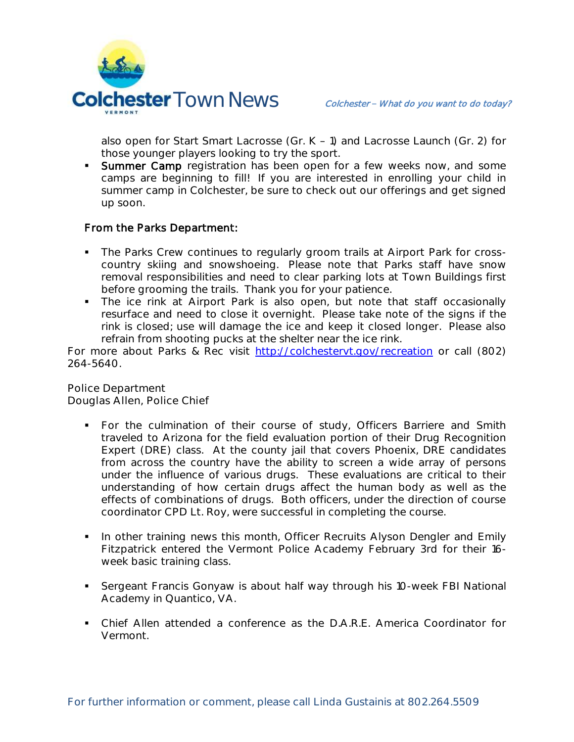

also open for Start Smart Lacrosse (Gr.  $K - 1$ ) and Lacrosse Launch (Gr. 2) for those younger players looking to try the sport.

**Summer Camp** registration has been open for a few weeks now, and some camps are beginning to fill! If you are interested in enrolling your child in summer camp in Colchester, be sure to check out our offerings and get signed up soon.

# From the Parks Department:

- The Parks Crew continues to regularly groom trails at Airport Park for crosscountry skiing and snowshoeing. Please note that Parks staff have snow removal responsibilities and need to clear parking lots at Town Buildings first before grooming the trails. Thank you for your patience.
- The ice rink at Airport Park is also open, but note that staff occasionally resurface and need to close it overnight. Please take note of the signs if the rink is closed; use will damage the ice and keep it closed longer. Please also refrain from shooting pucks at the shelter near the ice rink.

For more about Parks & Rec visit [http://colchestervt.gov/recreation](http://colchestervt.gov/Recreation/parksNRec.shtml) or call (802) 264-5640.

**Police Department Douglas Allen, Police Chief** 

- For the culmination of their course of study, Officers Barriere and Smith traveled to Arizona for the field evaluation portion of their Drug Recognition Expert (DRE) class. At the county jail that covers Phoenix, DRE candidates from across the country have the ability to screen a wide array of persons under the influence of various drugs. These evaluations are critical to their understanding of how certain drugs affect the human body as well as the effects of combinations of drugs. Both officers, under the direction of course coordinator CPD Lt. Roy, were successful in completing the course.
- **I.** In other training news this month, Officer Recruits Alyson Dengler and Emily Fitzpatrick entered the Vermont Police Academy February 3rd for their 16 week basic training class.
- Sergeant Francis Gonyaw is about half way through his 10-week FBI National Academy in Quantico, VA.
- Chief Allen attended a conference as the D.A.R.E. America Coordinator for Vermont.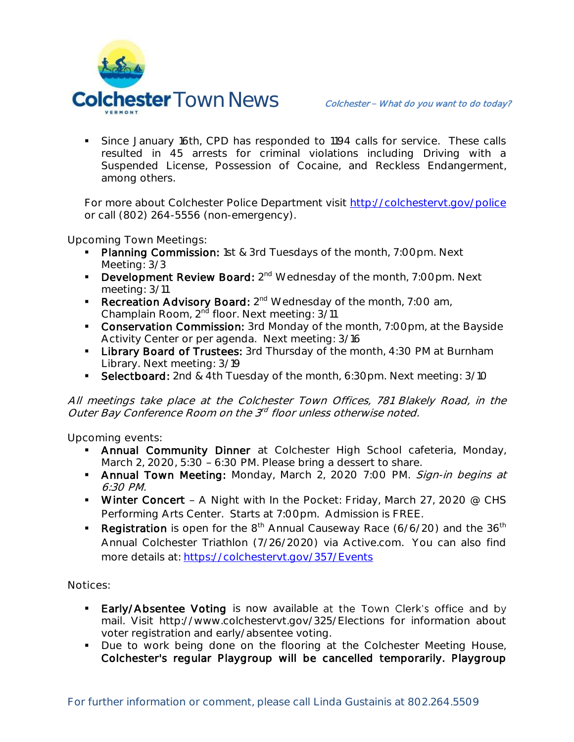

 Since January 16th, CPD has responded to 1194 calls for service. These calls resulted in 45 arrests for criminal violations including Driving with a Suspended License, Possession of Cocaine, and Reckless Endangerment, among others.

For more about Colchester Police Department visit<http://colchestervt.gov/police> or call (802) 264-5556 (non-emergency).

**Upcoming Town Meetings:** 

- Planning Commission: 1st & 3rd Tuesdays of the month, 7:00pm. Next Meeting: 3/3
- **Development Review Board:** 2<sup>nd</sup> Wednesday of the month, 7:00pm. Next meeting: 3/11
- **Recreation Advisory Board:**  $2^{nd}$  Wednesday of the month, 7:00 am, Champlain Room, 2<sup>nd</sup> floor. Next meeting: 3/11
- **Conservation Commission:** 3rd Monday of the month, 7:00pm, at the Bayside Activity Center or per agenda. Next meeting: 3/16
- **Library Board of Trustees:** 3rd Thursday of the month, 4:30 PM at Burnham Library. Next meeting: 3/19
- Selectboard: 2nd & 4th Tuesday of the month, 6:30pm. Next meeting: 3/10

All meetings take place at the Colchester Town Offices, 781 Blakely Road, in the Outer Bay Conference Room on the 3<sup>rd</sup> floor unless otherwise noted.

**Upcoming events:** 

- **Annual Community Dinner** at Colchester High School cafeteria, Monday, March 2, 2020,  $5:30 - 6:30$  PM. Please bring a dessert to share.
- Annual Town Meeting: Monday, March 2, 2020 7:00 PM. Sign-in begins at 6:30 PM.
- Winter Concert A Night with In the Pocket: Friday, March 27, 2020  $@$  CHS Performing Arts Center. Starts at 7:00pm. Admission is FREE.
- **Registration** is open for the  $8<sup>th</sup>$  Annual Causeway Race (6/6/20) and the  $36<sup>th</sup>$ Annual Colchester Triathlon (7/26/2020) via Active.com. You can also find more details at:<https://colchestervt.gov/357/Events>

**Notices:**

- Early/Absentee Voting is now available at the Town Clerk's office and by mail. Visit http://www.colchestervt.gov/325/Elections for information about voter registration and early/absentee voting.
- Due to work being done on the flooring at the Colchester Meeting House, Colchester's regular Playgroup will be cancelled temporarily. Playgroup